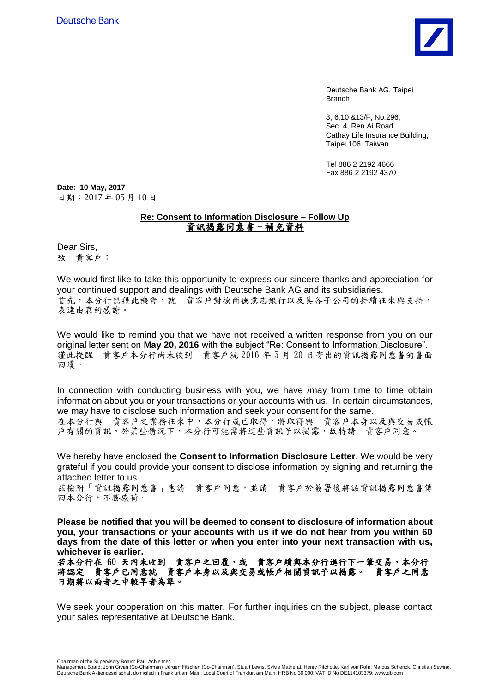

Deutsche Bank AG, Taipei Branch

3, 6,10 &13/F, No.296, Sec. 4, Ren Ai Road, Cathay Life Insurance Building, Taipei 106, Taiwan

Tel 886 2 2192 4666 Fax 886 2 2192 4370

**Date: 10 May, 2017**  日期:2017 年 05 月 10 日

## **Re: Consent to Information Disclosure – Follow Up** 資訊揭露同意書 - 補充資料

Dear Sirs, 致 貴客戶:

We would first like to take this opportunity to express our sincere thanks and appreciation for your continued support and dealings with Deutsche Bank AG and its subsidiaries. 首先,本分行想藉此機會,就 貴客戶對德商德意志銀行以及其各子公司的持續往來與支持, 表達由衷的感謝。

We would like to remind you that we have not received a written response from you on our original letter sent on **May 20, 2016** with the subject "Re: Consent to Information Disclosure". 謹此提醒 貴客戶本分行尚未收到 貴客戶就 2016 年 5 月 20 日寄出的資訊揭露同意書的書面 回覆。

In connection with conducting business with you, we have /may from time to time obtain information about you or your transactions or your accounts with us. In certain circumstances, we may have to disclose such information and seek your consent for the same. 在本分行與 貴客戶之業務往來中,本分行或已取得、將取得與 貴客戶本身以及與交易或帳 戶有關的資訊。於某些情況下,本分行可能需將這些資訊予以揭露,故特請 貴客戶同意。

We hereby have enclosed the **Consent to Information Disclosure Letter**. We would be very grateful if you could provide your consent to disclose information by signing and returning the attached letter to us.

茲檢附「資訊揭露同意書」惠請 貴客戶並請 貴客戶於簽署後將該資訊揭露同意書傳 回本分行,不勝感荷。

**Please be notified that you will be deemed to consent to disclosure of information about you, your transactions or your accounts with us if we do not hear from you within 60 days from the date of this letter or when you enter into your next transaction with us, whichever is earlier.** 

若本分行在 60 天內未收到 貴客戶之回覆,或 貴客戶續與本分行進行下一筆交易,本分行 將認定 貴客戶已同意就 貴客戶本身以及與交易或帳戶相關資訊予以揭露。 貴客戶之同意 日期將以兩者之中較早者為準。

We seek your cooperation on this matter. For further inquiries on the subject, please contact your sales representative at Deutsche Bank.

Chairman of the Supervisory Board: Paul Achleitner.

Management Board: John Cryan (Co-Chairman), Jürgen Fitschen (Co-Chairman), Stuart Lewis, Sylvie Matherat, Henry Ritchotte, Karl von Rohr, Marcus Schenck, Christian Sewing.<br>Deutsche Bank Aktiengesellschaft domiciled in Fran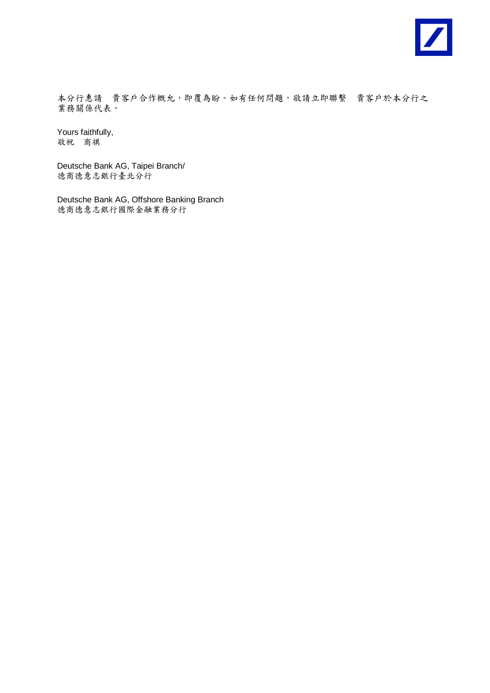

本分行惠請 貴客戶合作概允,即覆為盼。如有任何問題,敬請立即聯繫 貴客戶於本分行之 業務關係代表。

Yours faithfully, 敬祝 商祺

Deutsche Bank AG, Taipei Branch/ 德商德意志銀行臺北分行

Deutsche Bank AG, Offshore Banking Branch 德商德意志銀行國際金融業務分行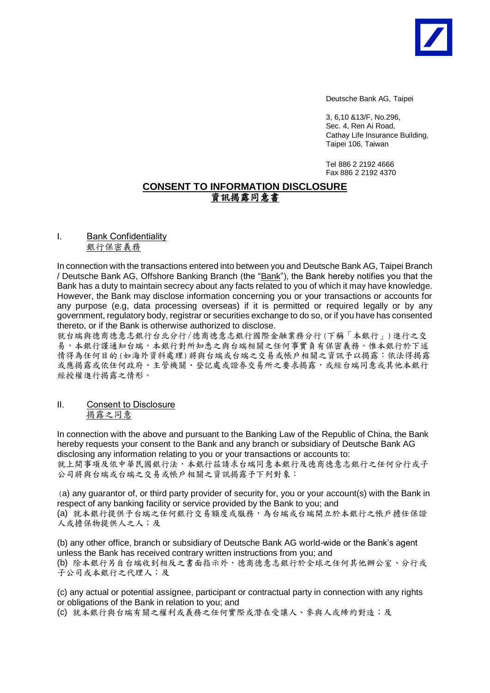

Deutsche Bank AG, Taipei

3, 6,10 &13/F, No.296, Sec. 4, Ren Ai Road, Cathay Life Insurance Building, Taipei 106, Taiwan

Tel 886 2 2192 4666 Fax 886 2 2192 4370

## **CONSENT TO INFORMATION DISCLOSURE** 資訊揭露同意書

I. Bank Confidentiality 銀行保密義務

In connection with the transactions entered into between you and Deutsche Bank AG, Taipei Branch / Deutsche Bank AG, Offshore Banking Branch (the "Bank"), the Bank hereby notifies you that the Bank has a duty to maintain secrecy about any facts related to you of which it may have knowledge. However, the Bank may disclose information concerning you or your transactions or accounts for any purpose (e.g, data processing overseas) if it is permitted or required legally or by any government, regulatory body, registrar or securities exchange to do so, or if you have has consented thereto, or if the Bank is otherwise authorized to disclose.

就台端與德商德意志銀行台北分行/德商德意志銀行國際金融業務分行(下稱「本銀行」)進行之交 易,本銀行謹通知台端,本銀行對所知悉之與台端相關之任何事實負有保密義務。惟本銀行於下述 情得為任何目的(如海外資料處理)將與台端或台端之交易或帳戶相關之資訊予以揭露:依法得揭露 或應揭露或依任何政府、主管機關、登記處或證券交易所之要求揭露,或經台端同意或其他本銀行 經授權進行揭露之情形。

## II. Consent to Disclosure 揭露之同意

In connection with the above and pursuant to the Banking Law of the Republic of China, the Bank hereby requests your consent to the Bank and any branch or subsidiary of Deutsche Bank AG disclosing any information relating to you or your transactions or accounts to: 就上開事項及依中華民國銀行法,本銀行茲請求台端同意本銀行及德商德意志銀行之任何分行或子 公司將與台端或台端之交易或帳戶相關之資訊揭露予下列對象:

(a) any guarantor of, or third party provider of security for, you or your account(s) with the Bank in respect of any banking facility or service provided by the Bank to you; and (a) 就本銀行提供予台端之任何銀行交易額度或服務,為台端或台端開立於本銀行之帳戶擔任保證 人或擔保物提供人之人;及

(b) any other office, branch or subsidiary of Deutsche Bank AG world-wide or the Bank's agent unless the Bank has received contrary written instructions from you; and (b) 除本銀行另自台端收到相反之書面指示外,德商德意志銀行於全球之任何其他辦公室、分行或 子公司或本銀行之代理人;及

(c) any actual or potential assignee, participant or contractual party in connection with any rights or obligations of the Bank in relation to you; and

(c) 就本銀行與台端有關之權利或義務之任何實際或潛在受讓人、參與人或締約對造;及